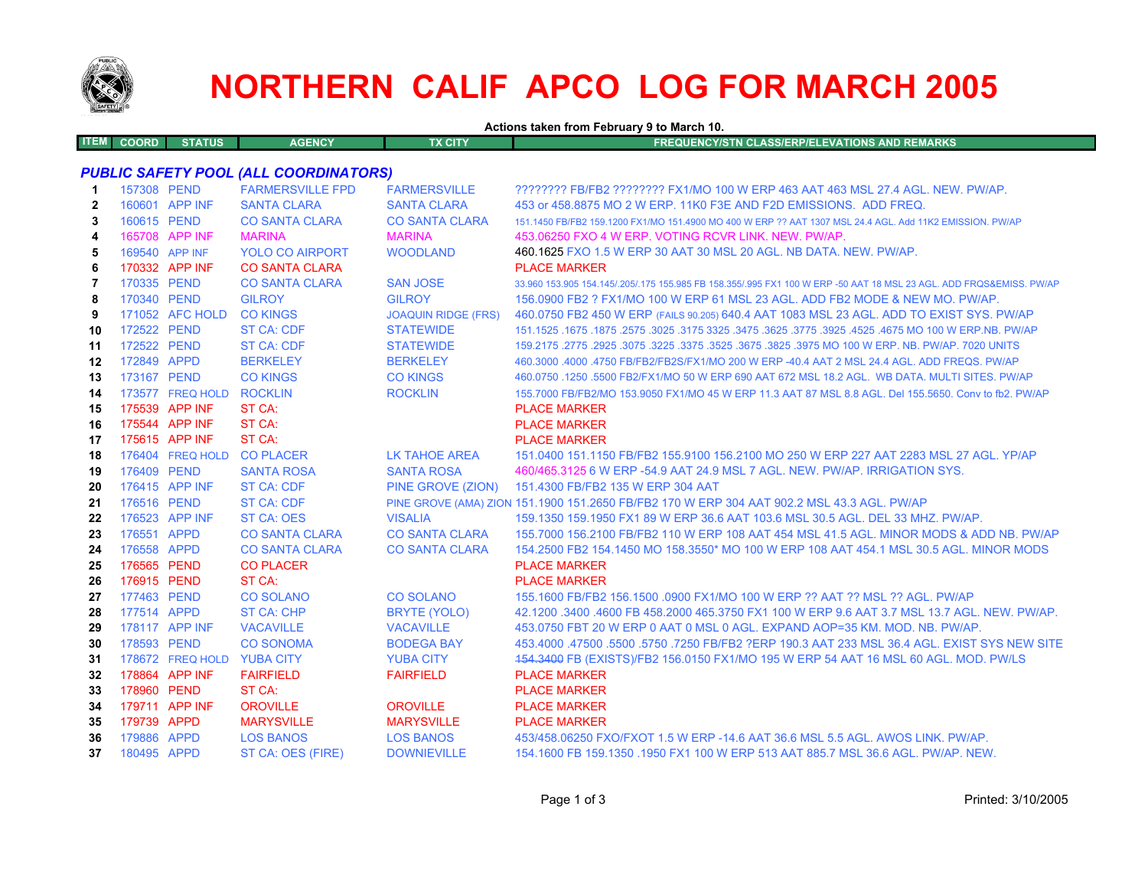

# **NORTHERN CALIF APCO LOG FOR MARCH 2005**

|  |  |  | Actions taken from February 9 to March 10. |
|--|--|--|--------------------------------------------|
|--|--|--|--------------------------------------------|

| TEM L<br>COORD. | <b>STATUS</b> | <b>AGENCY</b> | TX CITY | IFREQUENCY/STN CLASS/ERP/ELEVATIONS AND REMARKS <sup>1</sup> |
|-----------------|---------------|---------------|---------|--------------------------------------------------------------|
|                 |               |               |         |                                                              |

## *PUBLIC SAFETY POOL (ALL COORDINATORS)*

| 1            | 157308 PEND |                                    | <b>FARMERSVILLE FPD</b>              | <b>FARMERSVILLE</b>                  | ???????? FB/FB2 ???????? FX1/MO 100 W ERP 463 AAT 463 MSL 27.4 AGL. NEW. PW/AP.                                     |
|--------------|-------------|------------------------------------|--------------------------------------|--------------------------------------|---------------------------------------------------------------------------------------------------------------------|
| $\mathbf{2}$ |             | 160601 APP INF                     | <b>SANTA CLARA</b>                   | <b>SANTA CLARA</b>                   | 453 or 458,8875 MO 2 W ERP, 11K0 F3E AND F2D EMISSIONS. ADD FREQ.                                                   |
| 3            | 160615 PEND |                                    | <b>CO SANTA CLARA</b>                | <b>CO SANTA CLARA</b>                | 151.1450 FB/FB2 159.1200 FX1/MO 151.4900 MO 400 W ERP ?? AAT 1307 MSL 24.4 AGL. Add 11K2 EMISSION. PW/AP            |
| 4            |             | 165708 APP INF                     | <b>MARINA</b>                        | <b>MARINA</b>                        | 453.06250 FXO 4 W ERP. VOTING RCVR LINK, NEW, PW/AP.                                                                |
| 5            |             | 169540 APP INF                     | <b>YOLO CO AIRPORT</b>               | <b>WOODLAND</b>                      | 460.1625 FXO 1.5 W ERP 30 AAT 30 MSL 20 AGL. NB DATA. NEW. PW/AP.                                                   |
| 6            |             | 170332 APP INF                     | <b>CO SANTA CLARA</b>                |                                      | <b>PLACE MARKER</b>                                                                                                 |
| 7            | 170335 PEND |                                    | <b>CO SANTA CLARA</b>                | <b>SAN JOSE</b>                      | 33.960 153.905 154.145/.205/.175 155.985 FB 158.355/.995 FX1 100 W ERP -50 AAT 18 MSL 23 AGL. ADD FRQS&EMISS. PW/AP |
| 8            | 170340 PEND |                                    | <b>GILROY</b>                        | <b>GILROY</b>                        | 156,0900 FB2 ? FX1/MO 100 W ERP 61 MSL 23 AGL, ADD FB2 MODE & NEW MO, PW/AP.                                        |
| 9            |             | 171052 AFC HOLD                    | <b>CO KINGS</b>                      | <b>JOAQUIN RIDGE (FRS)</b>           | 460.0750 FB2 450 W ERP (FAILS 90.205) 640.4 AAT 1083 MSL 23 AGL. ADD TO EXIST SYS. PW/AP                            |
| 10           | 172522 PEND |                                    | <b>ST CA: CDF</b>                    | <b>STATEWIDE</b>                     | 151.1525 .1675 .1875 .2575 .3025 .3175 3325 .3475 .3625 .3775 .3925 .4525 .4675 MO 100 W ERP.NB. PW/AP              |
| 11           | 172522 PEND |                                    | <b>ST CA: CDF</b>                    | <b>STATEWIDE</b>                     | 159.2175 .2775 .2925 .3075 .3225 .3675 .3675 .3825 .3975 MO 100 W ERP. NB. PW/AP. 7020 UNITS                        |
| 12           | 172849 APPD |                                    | <b>BERKELEY</b>                      | <b>BERKELEY</b>                      | 460,3000,4000,4750 FB/FB2/FB2S/FX1/MO 200 W ERP -40.4 AAT 2 MSL 24.4 AGL, ADD FREQS, PW/AP                          |
| 13           | 173167 PEND |                                    | <b>CO KINGS</b>                      | <b>CO KINGS</b>                      | 460.0750 .1250 .5500 FB2/FX1/MO 50 W ERP 690 AAT 672 MSL 18.2 AGL. WB DATA, MULTI SITES, PW/AP                      |
| 14           |             | 173577 FREQ HOLD                   | <b>ROCKLIN</b>                       | <b>ROCKLIN</b>                       | 155,7000 FB/FB2/MO 153,9050 FX1/MO 45 W ERP 11.3 AAT 87 MSL 8.8 AGL. Del 155,5650. Conv to fb2, PW/AP               |
| 15           |             | 175539 APP INF                     | ST CA:                               |                                      | <b>PLACE MARKER</b>                                                                                                 |
| 16           |             | 175544 APP INF                     | ST CA:                               |                                      | <b>PLACE MARKER</b>                                                                                                 |
| 17           |             | 175615 APP INF                     | ST CA:                               |                                      | <b>PLACE MARKER</b>                                                                                                 |
| 18           |             | 176404 FREQ HOLD                   | <b>CO PLACER</b>                     | LK TAHOE AREA                        | 151.0400 151.1150 FB/FB2 155.9100 156.2100 MO 250 W ERP 227 AAT 2283 MSL 27 AGL, YP/AP                              |
| 19           | 176409 PEND |                                    | <b>SANTA ROSA</b>                    | <b>SANTA ROSA</b>                    | 460/465.3125 6 W ERP -54.9 AAT 24.9 MSL 7 AGL. NEW. PW/AP. IRRIGATION SYS.                                          |
| 20           |             | 176415 APP INF                     | <b>ST CA: CDF</b>                    | PINE GROVE (ZION)                    | 151.4300 FB/FB2 135 W ERP 304 AAT                                                                                   |
| 21           | 176516 PEND |                                    | <b>ST CA: CDF</b>                    |                                      | PINE GROVE (AMA) ZION 151.1900 151.2650 FB/FB2 170 W ERP 304 AAT 902.2 MSL 43.3 AGL. PW/AP                          |
| 22           |             | 176523 APP INF                     | <b>ST CA: OES</b>                    | <b>VISALIA</b>                       | 159.1350 159.1950 FX1 89 W ERP 36.6 AAT 103.6 MSL 30.5 AGL, DEL 33 MHZ, PW/AP,                                      |
| 23           | 176551 APPD |                                    | <b>CO SANTA CLARA</b>                | <b>CO SANTA CLARA</b>                | 155,7000 156,2100 FB/FB2 110 W ERP 108 AAT 454 MSL 41.5 AGL, MINOR MODS & ADD NB, PW/AP                             |
| 24           | 176558 APPD |                                    | <b>CO SANTA CLARA</b>                | <b>CO SANTA CLARA</b>                | 154,2500 FB2 154,1450 MO 158,3550* MO 100 W ERP 108 AAT 454,1 MSL 30.5 AGL. MINOR MODS                              |
| 25           | 176565 PEND |                                    | <b>CO PLACER</b>                     |                                      | <b>PLACE MARKER</b>                                                                                                 |
| 26           | 176915 PEND |                                    | ST CA:                               |                                      | <b>PLACE MARKER</b>                                                                                                 |
| 27           | 177463 PEND |                                    | <b>CO SOLANO</b>                     | <b>CO SOLANO</b>                     | 155.1600 FB/FB2 156.1500 .0900 FX1/MO 100 W ERP ?? AAT ?? MSL ?? AGL, PW/AP                                         |
| 28           | 177514 APPD |                                    | <b>ST CA: CHP</b>                    | BRYTE (YOLO)                         | 42.1200 .3400 .4600 FB 458.2000 465.3750 FX1 100 W ERP 9.6 AAT 3.7 MSL 13.7 AGL, NEW, PW/AP,                        |
| 29           |             | 178117 APP INF                     | <b>VACAVILLE</b>                     | <b>VACAVILLE</b>                     | 453.0750 FBT 20 W ERP 0 AAT 0 MSL 0 AGL. EXPAND AOP=35 KM, MOD, NB, PW/AP,                                          |
| 30           | 178593 PEND |                                    | <b>CO SONOMA</b>                     | <b>BODEGA BAY</b>                    | 453,4000 .47500 .5500 .5750 .7250 FB/FB2 ?ERP 190.3 AAT 233 MSL 36.4 AGL. EXIST SYS NEW SITE                        |
| 31           |             | 178672 FREQ HOLD<br>178864 APP INF | <b>YUBA CITY</b><br><b>FAIRFIELD</b> | <b>YUBA CITY</b><br><b>FAIRFIELD</b> | 154.3400 FB (EXISTS)/FB2 156.0150 FX1/MO 195 W ERP 54 AAT 16 MSL 60 AGL. MOD. PW/LS<br><b>PLACE MARKER</b>          |
| 32           | 178960 PEND |                                    | ST CA:                               |                                      | <b>PLACE MARKER</b>                                                                                                 |
| 33           |             | 179711 APP INF                     | <b>OROVILLE</b>                      | <b>OROVILLE</b>                      | <b>PLACE MARKER</b>                                                                                                 |
| 34<br>35     | 179739 APPD |                                    | <b>MARYSVILLE</b>                    | <b>MARYSVILLE</b>                    | <b>PLACE MARKER</b>                                                                                                 |
| 36           | 179886 APPD |                                    | <b>LOS BANOS</b>                     | <b>LOS BANOS</b>                     | 453/458.06250 FXO/FXOT 1.5 W ERP -14.6 AAT 36.6 MSL 5.5 AGL, AWOS LINK, PW/AP,                                      |
| 37           | 180495 APPD |                                    | ST CA: OES (FIRE)                    | <b>DOWNIEVILLE</b>                   | 154.1600 FB 159.1350 .1950 FX1 100 W ERP 513 AAT 885.7 MSL 36.6 AGL. PW/AP. NEW.                                    |
|              |             |                                    |                                      |                                      |                                                                                                                     |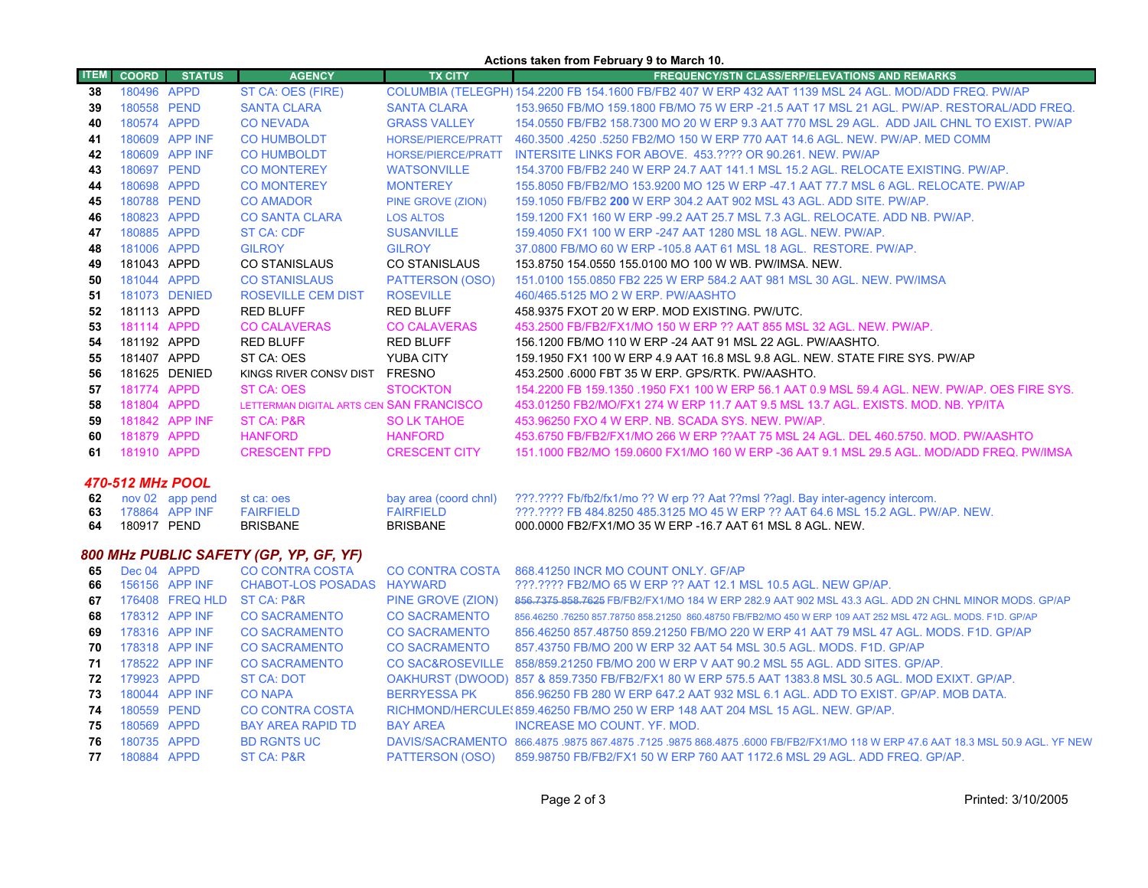#### **Actions taken from February 9 to March 10.**

| <b>ITEM</b> | <b>COORD</b>     | <b>STATUS</b>                     | <b>AGENCY</b>                            | <b>TX CITY</b>                            | <b>FREQUENCY/STN CLASS/ERP/ELEVATIONS AND REMARKS</b>                                                                                                             |
|-------------|------------------|-----------------------------------|------------------------------------------|-------------------------------------------|-------------------------------------------------------------------------------------------------------------------------------------------------------------------|
| 38          | 180496 APPD      |                                   | ST CA: OES (FIRE)                        |                                           | COLUMBIA (TELEGPH) 154.2200 FB 154.1600 FB/FB2 407 W ERP 432 AAT 1139 MSL 24 AGL. MOD/ADD FREQ. PW/AP                                                             |
| 39          | 180558 PEND      |                                   | <b>SANTA CLARA</b>                       | <b>SANTA CLARA</b>                        | 153.9650 FB/MO 159.1800 FB/MO 75 W ERP -21.5 AAT 17 MSL 21 AGL. PW/AP. RESTORAL/ADD FREQ.                                                                         |
| 40          | 180574 APPD      |                                   | <b>CONEVADA</b>                          | <b>GRASS VALLEY</b>                       | 154.0550 FB/FB2 158.7300 MO 20 W ERP 9.3 AAT 770 MSL 29 AGL. ADD JAIL CHNL TO EXIST. PW/AP                                                                        |
| 41          |                  | 180609 APP INF                    | <b>CO HUMBOLDT</b>                       | HORSE/PIERCE/PRATT                        | 460.3500 .4250 .5250 FB2/MO 150 W ERP 770 AAT 14.6 AGL. NEW. PW/AP. MED COMM                                                                                      |
| 42          |                  | 180609 APP INF                    | <b>CO HUMBOLDT</b>                       | HORSE/PIERCE/PRATT                        | INTERSITE LINKS FOR ABOVE. 453.???? OR 90.261. NEW. PW/AP                                                                                                         |
| 43          | 180697 PEND      |                                   | <b>CO MONTEREY</b>                       | <b>WATSONVILLE</b>                        | 154.3700 FB/FB2 240 W ERP 24.7 AAT 141.1 MSL 15.2 AGL, RELOCATE EXISTING, PW/AP.                                                                                  |
| 44          | 180698 APPD      |                                   | <b>CO MONTEREY</b>                       | <b>MONTEREY</b>                           | 155,8050 FB/FB2/MO 153,9200 MO 125 W ERP -47.1 AAT 77.7 MSL 6 AGL, RELOCATE, PW/AP                                                                                |
| 45          | 180788 PEND      |                                   | <b>CO AMADOR</b>                         | PINE GROVE (ZION)                         | 159.1050 FB/FB2 200 W ERP 304.2 AAT 902 MSL 43 AGL. ADD SITE. PW/AP.                                                                                              |
| 46          | 180823 APPD      |                                   | <b>CO SANTA CLARA</b>                    | <b>LOS ALTOS</b>                          | 159.1200 FX1 160 W ERP -99.2 AAT 25.7 MSL 7.3 AGL. RELOCATE. ADD NB. PW/AP.                                                                                       |
| 47          | 180885 APPD      |                                   | <b>ST CA: CDF</b>                        | <b>SUSANVILLE</b>                         | 159.4050 FX1 100 W ERP -247 AAT 1280 MSL 18 AGL. NEW. PW/AP.                                                                                                      |
| 48          | 181006 APPD      |                                   | <b>GILROY</b>                            | <b>GILROY</b>                             | 37.0800 FB/MO 60 W ERP -105.8 AAT 61 MSL 18 AGL. RESTORE. PW/AP.                                                                                                  |
| 49          | 181043 APPD      |                                   | <b>CO STANISLAUS</b>                     | <b>CO STANISLAUS</b>                      | 153.8750 154.0550 155.0100 MO 100 W WB. PW/IMSA. NEW.                                                                                                             |
| 50          | 181044 APPD      |                                   | <b>CO STANISLAUS</b>                     | PATTERSON (OSO)                           | 151.0100 155.0850 FB2 225 W ERP 584.2 AAT 981 MSL 30 AGL. NEW. PW/IMSA                                                                                            |
| 51          |                  | 181073 DENIED                     | <b>ROSEVILLE CEM DIST</b>                | <b>ROSEVILLE</b>                          | 460/465.5125 MO 2 W ERP. PW/AASHTO                                                                                                                                |
| 52          | 181113 APPD      |                                   | <b>RED BLUFF</b>                         | <b>RED BLUFF</b>                          | 458.9375 FXOT 20 W ERP. MOD EXISTING. PW/UTC.                                                                                                                     |
| 53          | 181114 APPD      |                                   | <b>CO CALAVERAS</b>                      | <b>CO CALAVERAS</b>                       | 453.2500 FB/FB2/FX1/MO 150 W ERP ?? AAT 855 MSL 32 AGL. NEW. PW/AP.                                                                                               |
| 54          | 181192 APPD      |                                   | <b>RED BLUFF</b>                         | <b>RED BLUFF</b>                          | 156.1200 FB/MO 110 W ERP -24 AAT 91 MSL 22 AGL. PW/AASHTO.                                                                                                        |
| 55          | 181407 APPD      |                                   | ST CA: OES                               | <b>YUBA CITY</b>                          | 159.1950 FX1 100 W ERP 4.9 AAT 16.8 MSL 9.8 AGL. NEW. STATE FIRE SYS. PW/AP                                                                                       |
| 56          |                  | 181625 DENIED                     | KINGS RIVER CONSV DIST FRESNO            |                                           | 453.2500 6000 FBT 35 W ERP. GPS/RTK. PW/AASHTO.                                                                                                                   |
| 57          | 181774 APPD      |                                   | <b>ST CA: OES</b>                        | <b>STOCKTON</b>                           | 154.2200 FB 159.1350 .1950 FX1 100 W ERP 56.1 AAT 0.9 MSL 59.4 AGL. NEW. PW/AP. OES FIRE SYS.                                                                     |
| 58          | 181804 APPD      |                                   | LETTERMAN DIGITAL ARTS CEN SAN FRANCISCO |                                           | 453.01250 FB2/MO/FX1 274 W ERP 11.7 AAT 9.5 MSL 13.7 AGL. EXISTS. MOD. NB. YP/ITA                                                                                 |
| 59          |                  | 181842 APP INF                    | <b>ST CA: P&amp;R</b>                    | <b>SO LK TAHOE</b>                        | 453.96250 FXO 4 W ERP. NB. SCADA SYS. NEW. PW/AP.                                                                                                                 |
| 60          | 181879 APPD      |                                   | <b>HANFORD</b>                           | <b>HANFORD</b>                            | 453.6750 FB/FB2/FX1/MO 266 W ERP ??AAT 75 MSL 24 AGL. DEL 460.5750. MOD. PW/AASHTO                                                                                |
| 61          | 181910 APPD      |                                   | <b>CRESCENT FPD</b>                      | <b>CRESCENT CITY</b>                      | 151,1000 FB2/MO 159,0600 FX1/MO 160 W ERP -36 AAT 9.1 MSL 29.5 AGL, MOD/ADD FREQ, PW/IMSA                                                                         |
|             |                  |                                   |                                          |                                           |                                                                                                                                                                   |
|             | 470-512 MHz POOL |                                   |                                          |                                           |                                                                                                                                                                   |
| 62<br>63    |                  | nov 02 app pend<br>178864 APP INF | st ca: oes<br><b>FAIRFIELD</b>           | bay area (coord chnl)<br><b>FAIRFIELD</b> | ???.???? Fb/fb2/fx1/mo ?? W erp ?? Aat ??msl ??agl. Bay inter-agency intercom.<br>???.???? FB 484.8250 485.3125 MO 45 W ERP ?? AAT 64.6 MSL 15.2 AGL, PW/AP, NEW. |
| 64          | 180917 PEND      |                                   | <b>BRISBANE</b>                          | <b>BRISBANE</b>                           | 000.0000 FB2/FX1/MO 35 W ERP -16.7 AAT 61 MSL 8 AGL. NEW.                                                                                                         |
|             |                  |                                   |                                          |                                           |                                                                                                                                                                   |
|             |                  |                                   | 800 MHz PUBLIC SAFETY (GP, YP, GF, YF)   |                                           |                                                                                                                                                                   |
| 65          | Dec 04 APPD      |                                   | <b>CO CONTRA COSTA</b>                   | <b>CO CONTRA COSTA</b>                    | 868.41250 INCR MO COUNT ONLY. GF/AP                                                                                                                               |
| 66          |                  | 156156 APP INF                    | <b>CHABOT-LOS POSADAS</b>                | HAYWARD                                   | ???.???? FB2/MO 65 W ERP ?? AAT 12.1 MSL 10.5 AGL. NEW GP/AP.                                                                                                     |
| 67          |                  | 176408 FREQ HLD                   | ST CA: P&R                               | PINE GROVE (ZION)                         | 856.7375 858.7625 FB/FB2/FX1/MO 184 W ERP 282.9 AAT 902 MSL 43.3 AGL. ADD 2N CHNL MINOR MODS. GP/AP                                                               |
| 68          |                  | 178312 APP INF                    | <b>CO SACRAMENTO</b>                     | <b>CO SACRAMENTO</b>                      | 856,46250 .76250 857,78750 858,21250 860,48750 FB/FB2/MO 450 W ERP 109 AAT 252 MSL 472 AGL, MODS, F1D, GP/AP                                                      |
| 69          |                  | 178316 APP INF                    | <b>CO SACRAMENTO</b>                     | <b>CO SACRAMENTO</b>                      | 856.46250 857.48750 859.21250 FB/MO 220 W ERP 41 AAT 79 MSL 47 AGL. MODS. F1D. GP/AP                                                                              |
| 70          |                  | 178318 APP INF                    | <b>CO SACRAMENTO</b>                     | <b>CO SACRAMENTO</b>                      | 857.43750 FB/MO 200 W ERP 32 AAT 54 MSL 30.5 AGL. MODS. F1D. GP/AP                                                                                                |
| 71          |                  | 178522 APP INF                    | <b>CO SACRAMENTO</b>                     | <b>CO SAC&amp;ROSEVILLE</b>               | 858/859.21250 FB/MO 200 W ERP V AAT 90.2 MSL 55 AGL, ADD SITES, GP/AP.                                                                                            |
| 72          | 179923 APPD      |                                   | <b>ST CA: DOT</b>                        |                                           | OAKHURST (DWOOD) 857 & 859.7350 FB/FB2/FX1 80 W ERP 575.5 AAT 1383.8 MSL 30.5 AGL. MOD EXIXT. GP/AP.                                                              |
| 73          |                  | 180044 APP INF                    | <b>CO NAPA</b>                           | <b>BERRYESSA PK</b>                       | 856.96250 FB 280 W ERP 647.2 AAT 932 MSL 6.1 AGL. ADD TO EXIST. GP/AP. MOB DATA.                                                                                  |
| 74          | 180559 PEND      |                                   | <b>CO CONTRA COSTA</b>                   |                                           | RICHMOND/HERCULE: 859.46250 FB/MO 250 W ERP 148 AAT 204 MSL 15 AGL. NEW. GP/AP.                                                                                   |
| 75          | 180569 APPD      |                                   | <b>BAY AREA RAPID TD</b>                 | <b>BAY AREA</b>                           | INCREASE MO COUNT. YF. MOD.                                                                                                                                       |
| 76          | 180735 APPD      |                                   | <b>BD RGNTS UC</b>                       |                                           | DAVIS/SACRAMENTO 866.4875.9875 867.4875.7125.9875 868.4875.6000 FB/FB2/FX1/MO 118 W ERP 47.6 AAT 18.3 MSL 50.9 AGL. YF NEW                                        |
| 77          | 180884 APPD      |                                   | ST CA: P&R                               | PATTERSON (OSO)                           | 859.98750 FB/FB2/FX1 50 W ERP 760 AAT 1172.6 MSL 29 AGL. ADD FREQ. GP/AP.                                                                                         |